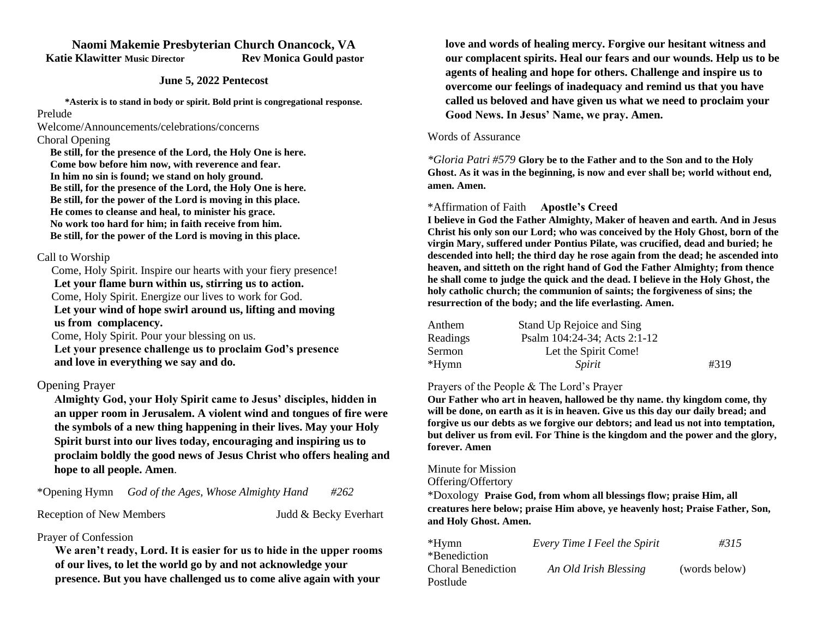# **Naomi Makemie Presbyterian Church Onancock, VA Katie Klawitter Music Director Rev Monica Gould pastor**

#### **June 5, 2022 Pentecost**

**\*Asterix is to stand in body or spirit. Bold print is congregational response.**

#### Prelude

Welcome/Announcements/celebrations/concerns

## Choral Opening

 **Be still, for the presence of the Lord, the Holy One is here. Come bow before him now, with reverence and fear. In him no sin is found; we stand on holy ground. Be still, for the presence of the Lord, the Holy One is here. Be still, for the power of the Lord is moving in this place. He comes to cleanse and heal, to minister his grace. No work too hard for him; in faith receive from him. Be still, for the power of the Lord is moving in this place.**

#### Call to Worship

 Come, Holy Spirit. Inspire our hearts with your fiery presence!  **Let your flame burn within us, stirring us to action.** Come, Holy Spirit. Energize our lives to work for God.  **Let your wind of hope swirl around us, lifting and moving us from complacency.**

Come, Holy Spirit. Pour your blessing on us.

 **Let your presence challenge us to proclaim God's presence and love in everything we say and do.**

# Opening Prayer

**Almighty God, your Holy Spirit came to Jesus' disciples, hidden in an upper room in Jerusalem. A violent wind and tongues of fire were the symbols of a new thing happening in their lives. May your Holy Spirit burst into our lives today, encouraging and inspiring us to proclaim boldly the good news of Jesus Christ who offers healing and hope to all people. Amen**.

\*Opening Hymn *God of the Ages, Whose Almighty Hand #262*

Reception of New Members Judd & Becky Everhart

# Prayer of Confession

**We aren't ready, Lord. It is easier for us to hide in the upper rooms of our lives, to let the world go by and not acknowledge your presence. But you have challenged us to come alive again with your** 

**love and words of healing mercy. Forgive our hesitant witness and our complacent spirits. Heal our fears and our wounds. Help us to be agents of healing and hope for others. Challenge and inspire us to overcome our feelings of inadequacy and remind us that you have called us beloved and have given us what we need to proclaim your Good News. In Jesus' Name, we pray. Amen.**

#### Words of Assurance

*\*Gloria Patri #579* **Glory be to the Father and to the Son and to the Holy Ghost. As it was in the beginning, is now and ever shall be; world without end, amen. Amen.** 

## \*Affirmation of Faith **Apostle's Creed**

**I believe in God the Father Almighty, Maker of heaven and earth. And in Jesus Christ his only son our Lord; who was conceived by the Holy Ghost, born of the virgin Mary, suffered under Pontius Pilate, was crucified, dead and buried; he descended into hell; the third day he rose again from the dead; he ascended into heaven, and sitteth on the right hand of God the Father Almighty; from thence he shall come to judge the quick and the dead. I believe in the Holy Ghost, the holy catholic church; the communion of saints; the forgiveness of sins; the resurrection of the body; and the life everlasting. Amen.**

| Anthem   | Stand Up Rejoice and Sing    |      |
|----------|------------------------------|------|
| Readings | Psalm 104:24-34; Acts 2:1-12 |      |
| Sermon   | Let the Spirit Come!         |      |
| *Hymn    | Spirit                       | #319 |

## Prayers of the People & The Lord's Prayer

**Our Father who art in heaven, hallowed be thy name. thy kingdom come, thy will be done, on earth as it is in heaven. Give us this day our daily bread; and forgive us our debts as we forgive our debtors; and lead us not into temptation, but deliver us from evil. For Thine is the kingdom and the power and the glory, forever. Amen**

## Minute for Mission

#### Offering/Offertory

\*Doxology **Praise God, from whom all blessings flow; praise Him, all creatures here below; praise Him above, ye heavenly host; Praise Father, Son, and Holy Ghost. Amen.** 

| $*Hymn$            | Every Time I Feel the Spirit | #315          |
|--------------------|------------------------------|---------------|
| *Benediction       |                              |               |
| Choral Benediction | An Old Irish Blessing        | (words below) |
| Postlude           |                              |               |